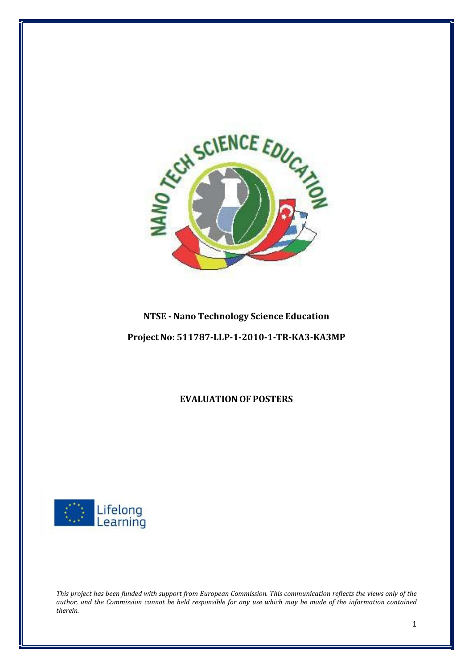

## **NTSE Nano Technology Science Education**

**Project No: 511787LLP120101TRKA3KA3MP**

**EVALUATION OF POSTERS** 



This project has been funded with support from European Commission. This communication reflects the views only of the author, and the Commission cannot be held responsible for any use which may be made of the information contained *therein.*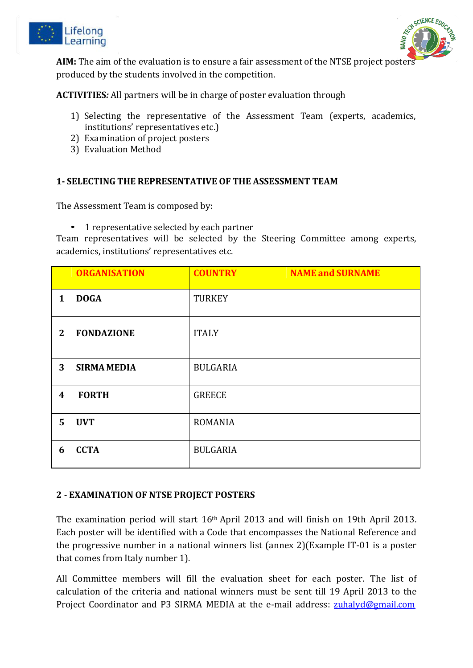



**AIM:** The aim of the evaluation is to ensure a fair assessment of the NTSE project posters produced by the students involved in the competition.

**ACTIVITIES***:* All partners will be in charge of poster evaluation through

- 1) Selecting the representative of the Assessment Team (experts, academics, institutions' representatives etc.)
- 2) Examination of project posters
- 3) Evaluation Method

#### **1 SELECTING THE REPRESENTATIVE OF THE ASSESSMENT TEAM**

The Assessment Team is composed by:

• 1 representative selected by each partner

Team representatives will be selected by the Steering Committee among experts, academics, institutions' representatives etc.

|                  | <b>ORGANISATION</b> | <b>COUNTRY</b>  | <b>NAME and SURNAME</b> |
|------------------|---------------------|-----------------|-------------------------|
| 1                | <b>DOGA</b>         | <b>TURKEY</b>   |                         |
| $\overline{2}$   | <b>FONDAZIONE</b>   | <b>ITALY</b>    |                         |
| 3                | <b>SIRMA MEDIA</b>  | <b>BULGARIA</b> |                         |
| $\boldsymbol{4}$ | <b>FORTH</b>        | <b>GREECE</b>   |                         |
| 5                | <b>UVT</b>          | <b>ROMANIA</b>  |                         |
| 6                | <b>CCTA</b>         | <b>BULGARIA</b> |                         |

#### **2 EXAMINATION OF NTSE PROJECT POSTERS**

The examination period will start 16th April 2013 and will finish on 19th April 2013. Each poster will be identified with a Code that encompasses the National Reference and the progressive number in a national winners list (annex 2)(Example IT‐01 is a poster that comes from Italy number 1).

All Committee members will fill the evaluation sheet for each poster. The list of calculation of the criteria and national winners must be sent till 19 April 2013 to the Project Coordinator and P3 SIRMA MEDIA at the e-mail address: [zuhalyd@gmail.com](mailto:zuhalyd@gmail.com)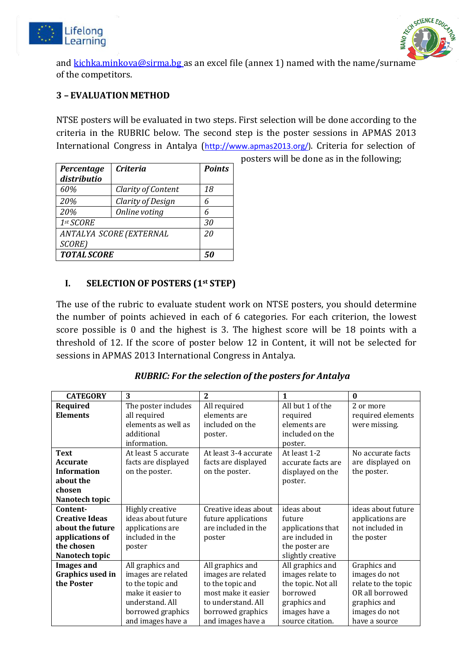



and [kichka.minkova@sirma.bg](mailto:kichka.minkova@sirma.bg) as an excel file (annex 1) named with the name/surname of the competitors.

### **3 – EVALUATION METHOD**

NTSE posters will be evaluated in two steps. First selection will be done according to the criteria in the RUBRIC below. The second step is the poster sessions in APMAS 2013 International Congress in Antalya ([http://www.apmas2013.org/\)](http://www.apmas2013.org/)). Criteria for selection of

| Percentage<br>distributio | <b>Criteria</b>    | <b>Points</b> |  |  |  |  |
|---------------------------|--------------------|---------------|--|--|--|--|
| 60%                       | Clarity of Content | 18            |  |  |  |  |
| 20%                       | Clarity of Design  | 6             |  |  |  |  |
| 20%                       | Online voting      | 6             |  |  |  |  |
| 1st SCORE                 | 30                 |               |  |  |  |  |
| ANTALYA SCORE (EXTERNAL   | 20                 |               |  |  |  |  |
| SCORE)                    |                    |               |  |  |  |  |
| <b>TOTAL SCORE</b>        | 50                 |               |  |  |  |  |

posters will be done as in the following;

#### **I. SELECTION OF POSTERS (1st STEP)**

The use of the rubric to evaluate student work on NTSE posters, you should determine the number of points achieved in each of 6 categories. For each criterion, the lowest score possible is 0 and the highest is 3. The highest score will be 18 points with a threshold of 12. If the score of poster below 12 in Content, it will not be selected for sessions in APMAS 2013 International Congress in Antalya.

#### *RUBRIC: For the selection of the posters for Antalya*

| <b>CATEGORY</b>                                                                                          | 3                                                                                                                                            | 2                                                                                                                                                 | $\mathbf{1}$                                                                                                                | $\mathbf{0}$                                                                                                              |
|----------------------------------------------------------------------------------------------------------|----------------------------------------------------------------------------------------------------------------------------------------------|---------------------------------------------------------------------------------------------------------------------------------------------------|-----------------------------------------------------------------------------------------------------------------------------|---------------------------------------------------------------------------------------------------------------------------|
| Required<br><b>Elements</b>                                                                              | The poster includes<br>all required<br>elements as well as<br>additional<br>information.                                                     | All required<br>elements are<br>included on the<br>poster.                                                                                        | All but 1 of the<br>required<br>elements are<br>included on the<br>poster.                                                  | 2 or more<br>required elements<br>were missing.                                                                           |
| <b>Text</b><br><b>Accurate</b><br><b>Information</b><br>about the<br>chosen<br>Nanotech topic            | At least 5 accurate<br>facts are displayed<br>on the poster.                                                                                 | At least 3-4 accurate<br>facts are displayed<br>on the poster.                                                                                    | At least 1-2<br>accurate facts are<br>displayed on the<br>poster.                                                           | No accurate facts<br>are displayed on<br>the poster.                                                                      |
| Content-<br><b>Creative Ideas</b><br>about the future<br>applications of<br>the chosen<br>Nanotech topic | Highly creative<br>ideas about future<br>applications are<br>included in the<br>poster                                                       | Creative ideas about<br>future applications<br>are included in the<br>poster                                                                      | ideas about<br>future<br>applications that<br>are included in<br>the poster are<br>slightly creative                        | ideas about future<br>applications are<br>not included in<br>the poster                                                   |
| <b>Images and</b><br>Graphics used in<br>the Poster                                                      | All graphics and<br>images are related<br>to the topic and<br>make it easier to<br>understand. All<br>borrowed graphics<br>and images have a | All graphics and<br>images are related<br>to the topic and<br>most make it easier<br>to understand. All<br>borrowed graphics<br>and images have a | All graphics and<br>images relate to<br>the topic. Not all<br>borrowed<br>graphics and<br>images have a<br>source citation. | Graphics and<br>images do not<br>relate to the topic<br>OR all borrowed<br>graphics and<br>images do not<br>have a source |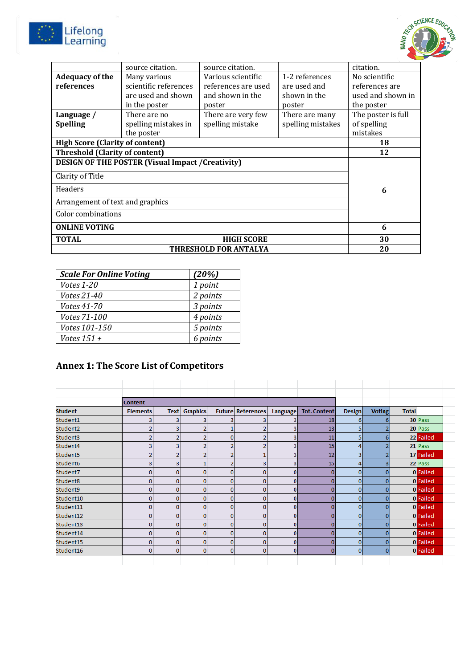



| source citation.                                        | source citation.    |                   | citation.          |  |  |  |  |
|---------------------------------------------------------|---------------------|-------------------|--------------------|--|--|--|--|
| Many various                                            | Various scientific  | 1-2 references    | No scientific      |  |  |  |  |
| scientific references                                   | references are used | are used and      | references are     |  |  |  |  |
| are used and shown                                      | and shown in the    | shown in the      | used and shown in  |  |  |  |  |
| in the poster                                           | poster              | poster            | the poster         |  |  |  |  |
| There are no                                            | There are very few  | There are many    | The poster is full |  |  |  |  |
| spelling mistakes in                                    | spelling mistake    | spelling mistakes | of spelling        |  |  |  |  |
| the poster                                              |                     |                   | mistakes           |  |  |  |  |
| <b>High Score (Clarity of content)</b>                  |                     |                   |                    |  |  |  |  |
| <b>Threshold (Clarity of content)</b>                   |                     |                   |                    |  |  |  |  |
| <b>DESIGN OF THE POSTER (Visual Impact /Creativity)</b> |                     |                   |                    |  |  |  |  |
| Clarity of Title                                        |                     |                   |                    |  |  |  |  |
| <b>Headers</b>                                          |                     |                   |                    |  |  |  |  |
| Arrangement of text and graphics                        |                     |                   |                    |  |  |  |  |
| Color combinations                                      |                     |                   |                    |  |  |  |  |
| <b>ONLINE VOTING</b>                                    |                     |                   |                    |  |  |  |  |
| <b>TOTAL</b><br><b>HIGH SCORE</b>                       |                     |                   |                    |  |  |  |  |
| THRESHOLD FOR ANTALYA                                   |                     |                   |                    |  |  |  |  |
|                                                         |                     |                   |                    |  |  |  |  |

| <b>Scale For Online Voting</b> | (20%)    |
|--------------------------------|----------|
| Votes 1-20                     | 1 point  |
| Votes 21-40                    | 2 points |
| Votes 41-70                    | 3 points |
| Votes 71-100                   | 4 points |
| Votes 101-150                  | 5 points |
| Votes $151 +$                  | 6 points |

# **Annex 1: The Score List of Competitors**

|                | <b>Content</b>  |             |                 |   |                          |          |                     |               |               |              |           |
|----------------|-----------------|-------------|-----------------|---|--------------------------|----------|---------------------|---------------|---------------|--------------|-----------|
| <b>Student</b> | <b>Elements</b> | <b>Text</b> | <b>Graphics</b> |   | <b>Future References</b> | Language | <b>Tot. Content</b> | <b>Design</b> | <b>Voting</b> | <b>Total</b> |           |
| Student1       |                 |             |                 |   | 3                        |          | 18                  | 6             | 6             |              | 30 Pass   |
| Student2       |                 | з           |                 |   |                          |          | 13                  | 5             |               |              | 20 Pass   |
| Student3       |                 |             |                 | 0 |                          |          | 11                  | 5             | 6             |              | 22 Failed |
| Student4       |                 | э           |                 |   |                          |          | 15                  | 4             |               |              | 21 Pass   |
| Student5       |                 |             |                 | 2 |                          |          | 12                  | 3             | 2             |              | 17 Failed |
| Student6       |                 | 3           |                 |   | з                        |          | 15                  | 4             | 3             |              | 22 Pass   |
| Student7       |                 | $\bf{0}$    | 0               | 0 | 0                        | 0        | n                   | 0             | $\Omega$      |              | 0 Failed  |
| Student8       |                 | 0           | Ω               | 0 | 0                        | 0        |                     | 0             | 0             |              | 0 Failed  |
| Student9       | n               | $\bf{0}$    | 0               | n | o                        | 0        |                     | 0             | 0             |              | 0 Failed  |
| Student10      | n               | $\bf{0}$    | 0               | 0 | 0                        | $\Omega$ |                     | 0             | 0             |              | 0 Failed  |
| Student11      | n               | 0           | 0               | 0 | 0                        | 0        |                     | 0             | 0             |              | 0 Failed  |
| Student12      |                 | 0           | 0               | 0 | n                        | O        |                     | 0             | 0             |              | 0 Failed  |
| Student13      | n               | $\bf{0}$    | Ω               | 0 | O                        | 0        |                     | 0             | 0             |              | 0 Failed  |
| Student14      | n               | 0           | 0               | n | n                        | o        |                     | 0             | 0             |              | 0 Failed  |
| Student15      | 0               | 0           | 0               | 0 | 0                        | 0        |                     | 0             | 0             |              | 0 Failed  |
| Student16      | $\Omega$        | $\Omega$    | $\mathbf{0}$    | 0 | 0                        | $\Omega$ | n                   | 0             | $\Omega$      |              | 0 Failed  |
|                |                 |             |                 |   |                          |          |                     |               |               |              |           |